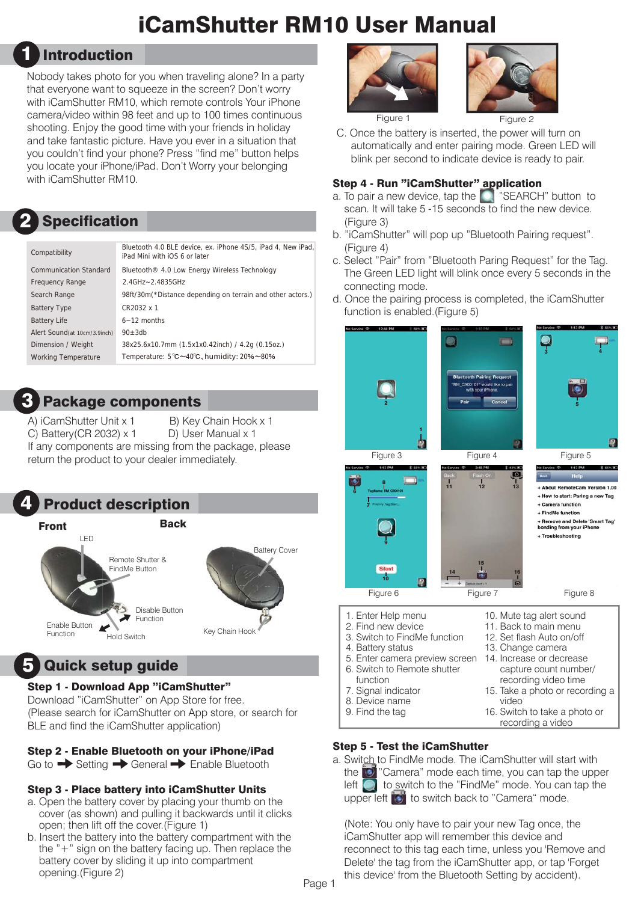# iCamShutter RM10 User Manual

# 1 Introduction

Nobody takes photo for you when traveling alone? In a party that everyone want to squeeze in the screen? Don't worry with iCamShutter RM10, which remote controls Your iPhone camera/video within 98 feet and up to 100 times continuous shooting. Enjoy the good time with your friends in holiday and take fantastic picture. Have you ever in a situation that you couldn't find your phone? Press "find me" button helps you locate your iPhone/iPad. Don't Worry your belonging with iCamShutter RM10.

#### Specification 2

| Compatibility                 | Bluetooth 4.0 BLE device, ex. iPhone 4S/5, iPad 4. New iPad.<br>iPad Mini with iOS 6 or later |
|-------------------------------|-----------------------------------------------------------------------------------------------|
| <b>Communication Standard</b> | Bluetooth <sup>®</sup> 4.0 Low Energy Wireless Technology                                     |
| <b>Frequency Range</b>        | 2.4GHz~2.4835GHz                                                                              |
| Search Range                  | 98ft/30m(*Distance depending on terrain and other actors.)                                    |
| <b>Battery Type</b>           | CR2032 x 1                                                                                    |
| <b>Battery Life</b>           | $6 - 12$ months                                                                               |
| Alert Sound (at 10cm/3.9inch) | $90 + 3db$                                                                                    |
| Dimension / Weight            | 38x25.6x10.7mm (1.5x1x0.42inch) / 4.2q (0.15oz.)                                              |
| <b>Working Temperature</b>    | Temperature: 5°C~40°C, humidity: 20%~80%                                                      |
|                               |                                                                                               |



A) iCamShutter Unit x 1 B) Key Chain Hook x 1 C) Battery(CR 2032) x 1 D) User Manual x 1 If any components are missing from the package, please return the product to your dealer immediately.



# 5 Quick setup guide

#### Step 1 - Download App "iCamShutter"

Download "iCamShutter" on App Store for free. (Please search for iCamShutter on App store, or search for BLE and find the iCamShutter application)

#### Step 2 - Enable Bluetooth on your iPhone/iPad

Go to  $\rightarrow$  Setting  $\rightarrow$  General  $\rightarrow$  Enable Bluetooth

#### Step 3 - Place battery into iCamShutter Units

- a. Open the battery cover by placing your thumb on the cover (as shown) and pulling it backwards until it clicks open; then lift off the cover.(Figure 1)
- b. Insert the battery into the battery compartment with the the "+" sign on the battery facing up. Then replace the battery cover by sliding it up into compartment opening.(Figure 2)





C. Once the battery is inserted, the power will turn on automatically and enter pairing mode. Green LED will blink per second to indicate device is ready to pair.

#### Step 4 - Run "iCamShutter" application

- a. To pair a new device, tap the **PACH**" button to scan. It will take 5 -15 seconds to find the new device. (Figure 3)
- b. "iCamShutter" will pop up "Bluetooth Pairing request". (Figure 4)
- c. Select "Pair" from "Bluetooth Paring Request" for the Tag. The Green LED light will blink once every 5 seconds in the connecting mode.
- d. Once the pairing process is completed, the iCamShutter function is enabled.(Figure 5)



16. Switch to take a photo or recording a video

#### Step 5 - Test the iCamShutter

a. Switch to FindMe mode. The iCamShutter will start with the "Camera" mode each time, you can tap the upper left  $\bigcirc$  to switch to the "FindMe" mode. You can tap the upper left  $\ddot{\bullet}$  to switch back to "Camera" mode.

 (Note: You only have to pair your new Tag once, the iCamShutter app will remember this device and reconnect to this tag each time, unless you 'Remove and Delete' the tag from the iCamShutter app, or tap 'Forget this device' from the Bluetooth Setting by accident).

Page 1